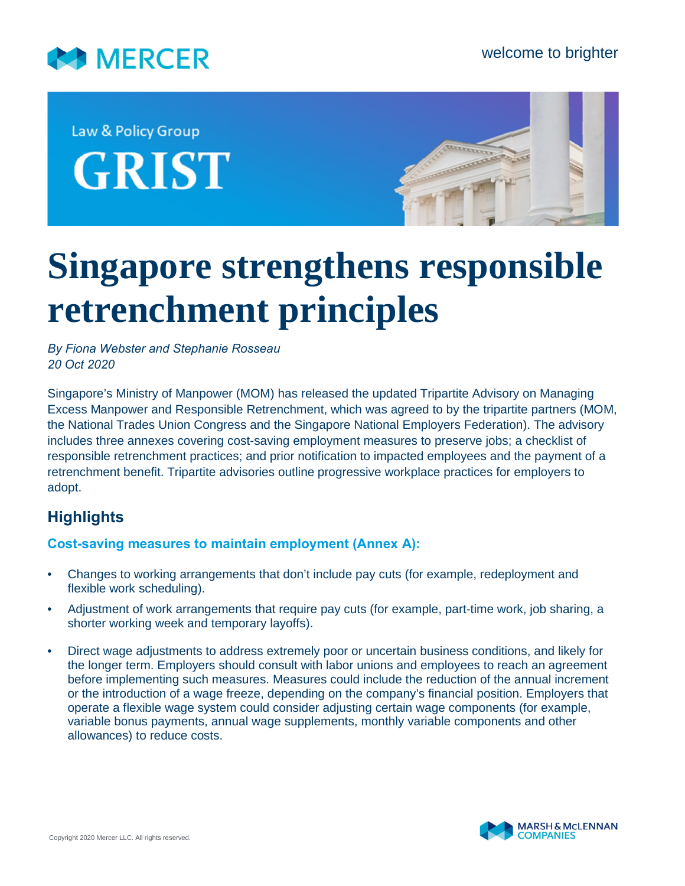

Law & Policy Group **GRIST** 



# **Singapore strengthens responsible retrenchment principles**

*By Fiona Webster and Stephanie Rosseau 20 Oct 2020*

Singapore's Ministry of Manpower (MOM) has released the updated Tripartite Advisory on Managing Excess Manpower and Responsible Retrenchment, which was agreed to by the tripartite partners (MOM, the National Trades Union Congress and the Singapore National Employers Federation). The advisory includes three annexes covering cost-saving employment measures to preserve jobs; a checklist of responsible retrenchment practices; and prior notification to impacted employees and the payment of a retrenchment benefit. Tripartite advisories outline progressive workplace practices for employers to adopt.

# **Highlights**

## **Cost-saving measures to maintain employment (Annex A):**

- Changes to working arrangements that don't include pay cuts (for example, redeployment and flexible work scheduling).
- Adjustment of work arrangements that require pay cuts (for example, part-time work, job sharing, a shorter working week and temporary layoffs).
- Direct wage adjustments to address extremely poor or uncertain business conditions, and likely for the longer term. Employers should consult with labor unions and employees to reach an agreement before implementing such measures. Measures could include the reduction of the annual increment or the introduction of a wage freeze, depending on the company's financial position. Employers that operate a flexible wage system could consider adjusting certain wage components (for example, variable bonus payments, annual wage supplements, monthly variable components and other allowances) to reduce costs.